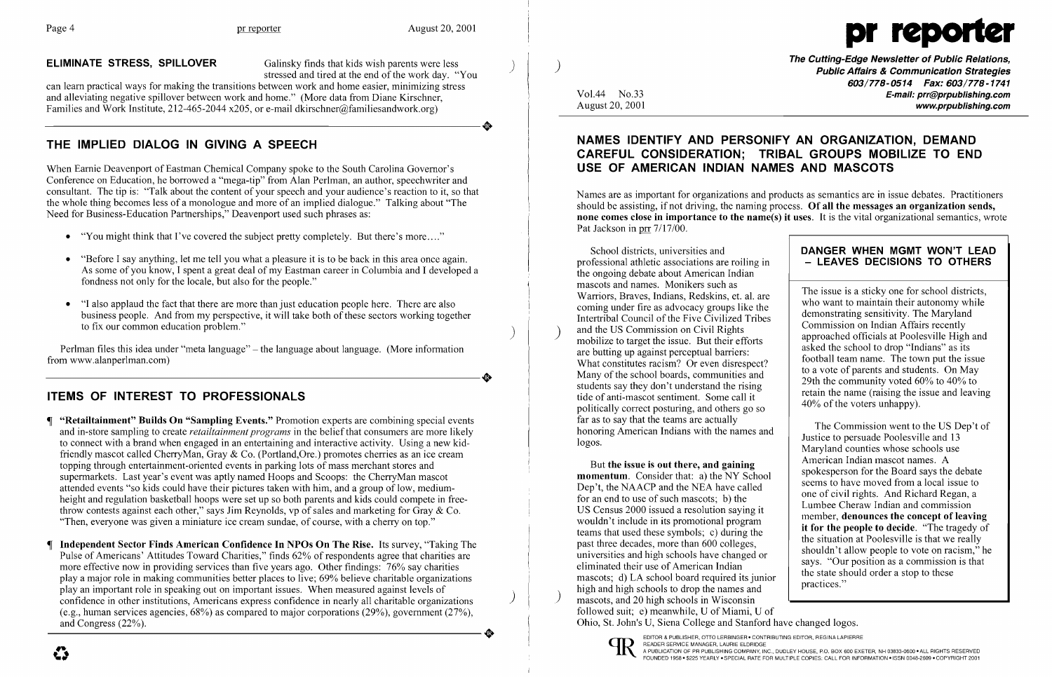**ELIMINATE STRESS, SPILLOVER** Galinsky finds that kids wish parents were less stressed and tired at the end of the work day. "You



can learn practical ways for making the transitions between work and home easier, minimizing stress and alleviating negative spillover between work and home." (More data from Diane Kirschner, Families and Work Institute, 212-465-2044 x205, or e-mail dkirschner@familiesandwork.org) and alleviating negative spillover between work and home." (More data from Diane Kirschner, Families and Work Institute, 212-465-2044 x205, or e-mail dkirschner@familiesandwork.org)

## THE IMPLIED DIALOG IN GIVING A SPEECH

When Earnie Deavenport of Eastman Chemical Company spoke to the South Carolina Governor's Conference on Education, he borrowed a "mega-tip" from Alan Perlman, an author, speechwriter and consultant. The tip is: "Talk about the content of your speech and your audience's reaction to it, so that the whole thing becomes less of a monologue and more of an implied dialogue." Talking about "The Need for Business-Education Partnerships," Deavenport used such phrases as:

- "You might think that I've covered the subject pretty completely. But there's more...."
- "Before I say anything, let me tell you what a pleasure it is to be back in this area once again. As some of you know, I spent a great deal of my Eastman career in Columbia and I developed a fondness not only for the locale, but also for the people."
- "I also applaud the fact that there are more than just education people here. There are also business people. And from my perspective, it will take both of these sectors working together to fix our common education problem."  $)$

Perlman files this idea under "meta language" – the language about language. (More information from www.alanperlman.com) from www.alanperlman.com)

- "Retailtainment" Builds On "Sampling Events." Promotion experts are combining special events and in-store sampling to create *retailtainment programs* in the belief that consumers are more likely to connect with a brand when engaged in an entertaining and interactive activity. Using a new kidfriendly mascot called CherryMan, Gray & Co. (Portland,Ore.) promotes cherries as an ice cream topping through entertainment-oriented events in parking lots of mass merchant stores and supermarkets. Last year's event was aptly named Hoops and Scoops: the ChenyMan mascot attended events "so kids could have their pictures taken with him, and a group of low, mediumheight and regulation basketball hoops were set up so both parents and kids could compete in freethrow contests against each other," says Jim Reynolds, vp of sales and marketing for Gray & Co. "Then, everyone was given a miniature ice cream sundae, of course, with a cherry on top."
- Independent Sector Finds American Confidence In NPOs On The Rise. Its survey, "Taking The Pulse of Americans' Attitudes Toward Charities," finds 62% of respondents agree that charities are more effective now in providing services than five years ago. Other findings: 76% say charities playa major role in making communities better places to live; 69% believe charitable organizations play an important role in speaking out on important issues. When measured against levels of play an important role in speaking out on important issues. When measured against levels of scheme in other institutions, Americans express confidence in nearly all charitable organizations (e.g., human services agencies, 68%) as compared to major corporations (29%), government (27%), and Congress (22%). confidence in other institutions, Americans express confidence in nearly all charitable organizations (e.g., human services agencies, 68%) as compared to major corporations (29%), government (27%), and Congress (22%).

## ITEMS OF INTEREST TO PROFESSIONALS

Names are as important for organizations and products as semantics are in issue debates. Practitioners should be assisting, if not driving, the naming process. Of all the messages an organization sends, none comes close in importance to the name(s) it uses. It is the vital organizational semantics, wrote Pat Jackson in prr  $7/17/00$ .

)

Vol.44 No.33 August 20,2001 The Cutting-Edge Newsletter of Public Relations, Public Affairs & Communication Strategies *603/778-0514 Fax: 603/778-1741*  E-mail: prr@prpublishing.com www.prpublishing.com

### NAMES IDENTIFY AND PERSONIFY AN ORGANIZATION, DEMAND CAREFUL CONSIDERATION; TRIBAL GROUPS MOBILIZE TO END USE OF AMERICAN INDIAN NAMES AND MASCOTS

School districts, universities and professional athletic associations are roiling in the ongoing debate about American Indian mascots and names. Monikers such as Warriors, Braves, Indians, Redskins, et. al. are coming under fire as advocacy groups like the Intertribal Council of the Five Civilized Tribes<br>and the US Commission on Civil Rights mobilize to target the issue. But their efforts are butting up against perceptual barriers: What constitutes racism? Or even disrespect? Many of the school boards, communities and students say they don't understand the rising tide of anti-mascot sentiment. Some call it politically correct posturing, and others go so far as to say that the teams are actually honoring American Indians with the names and logos.

### DANGER WHEN MGMT WON'T LEAD - LEAVES DECISIONS TO OTHERS

But the issue is out there, and gaining momentum. Consider that: a) the NY School Dep't, the NAACP and the NEA have called for an end to use of such mascots; b) the US Census 2000 issued a resolution saying it wouldn't include in its promotional program teams that used these symbols; c) during the past three decades, more than 600 colleges, universities and high schools have changed or eliminated their use of American Indian mascots; d) LA school board required its junior high and high schools to drop the names and<br>mascots, and 20 high schools in Wisconsin followed suit; e) meanwhile, U of Miami, U of Ohio, St. John's U, Siena College and Stanford have changed logos.

EDITOR & PUBLISHER, OTTO LERBINGER • CONTRIBUTING EDITOR, REGINA LAPIERRE<br>READER SERVICE MANAGER, LAURIE ELDRIDGE READER SERVICE MANAGER, LAURIE ELDRIDGE<br>A PUBLICATION OF PR PUBLISHING COMPANY, INC., DUDLEY HOUSE, P.O. BOX 600 EXETER, NH 03833-0600 • ALL RIGHTS RESERVED<br>FOUNDED 1958 • \$225 YEARLY • SPECIAL RATE FOR MULTIPLE COPIES: CA

 $\ddot{\bm{\zeta}}$ 

The issue is a sticky one for school districts, who want to maintain their autonomy while demonstrating sensitivity. The Maryland Commission on Indian Affairs recently approached officials at Poolesville High and asked the school to drop "Indians" as its football team name. The town put the issue to a vote of parents and students. On May 29th the community voted 60% to 40% to retain the name (raising the issue and leaving 40% of the voters unhappy).

The Commission went to the US Dep't of Justice to persuade Poolesville and 13 Maryland counties whose schools use American Indian mascot names. A spokesperson for the Board says the debate seems to have moved from a local issue to one of civil rights. And Richard Regan, a Lumbee Cheraw Indian and commission member, denounces the concept of leaving it for the people to decide. "The tragedy of the situation at Poolesville is that we really shouldn't allow people to vote on racism," he says. "Our position as a commission is that the state should order a stop to these practices."